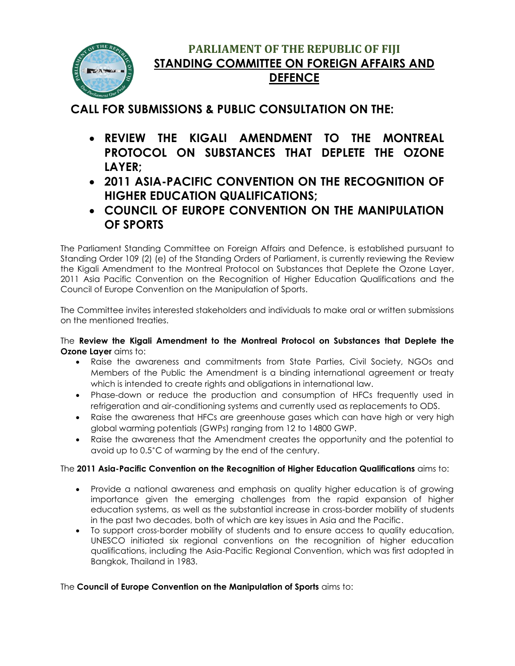

## **PARLIAMENT OF THE REPUBLIC OF FIJI STANDING COMMITTEE ON FOREIGN AFFAIRS AND DEFENCE**

## **CALL FOR SUBMISSIONS & PUBLIC CONSULTATION ON THE:**

- **REVIEW THE KIGALI AMENDMENT TO THE MONTREAL PROTOCOL ON SUBSTANCES THAT DEPLETE THE OZONE LAYER;**
- **2011 ASIA-PACIFIC CONVENTION ON THE RECOGNITION OF HIGHER EDUCATION QUALIFICATIONS;**
- **COUNCIL OF EUROPE CONVENTION ON THE MANIPULATION OF SPORTS**

The Parliament Standing Committee on Foreign Affairs and Defence, is established pursuant to Standing Order 109 (2) (e) of the Standing Orders of Parliament, is currently reviewing the Review the Kigali Amendment to the Montreal Protocol on Substances that Deplete the Ozone Layer, 2011 Asia Pacific Convention on the Recognition of Higher Education Qualifications and the Council of Europe Convention on the Manipulation of Sports.

The Committee invites interested stakeholders and individuals to make oral or written submissions on the mentioned treaties.

The **Review the Kigali Amendment to the Montreal Protocol on Substances that Deplete the Ozone Laver** aims to:

- Raise the awareness and commitments from State Parties, Civil Society, NGOs and Members of the Public the Amendment is a binding international agreement or treaty which is intended to create rights and obligations in international law.
- Phase-down or reduce the production and consumption of HFCs frequently used in refrigeration and air-conditioning systems and currently used as replacements to ODS.
- Raise the awareness that HFCs are greenhouse gases which can have high or very high global warming potentials (GWPs) ranging from 12 to 14800 GWP.
- Raise the awareness that the Amendment creates the opportunity and the potential to avoid up to 0.5˚C of warming by the end of the century.

## The **2011 Asia-Pacific Convention on the Recognition of Higher Education Qualifications** aims to:

- Provide a national awareness and emphasis on quality higher education is of growing importance given the emerging challenges from the rapid expansion of higher education systems, as well as the substantial increase in cross-border mobility of students in the past two decades, both of which are key issues in Asia and the Pacific.
- To support cross-border mobility of students and to ensure access to quality education, UNESCO initiated six regional conventions on the recognition of higher education qualifications, including the Asia-Pacific Regional Convention, which was first adopted in Bangkok, Thailand in 1983.

## The **Council of Europe Convention on the Manipulation of Sports** aims to: